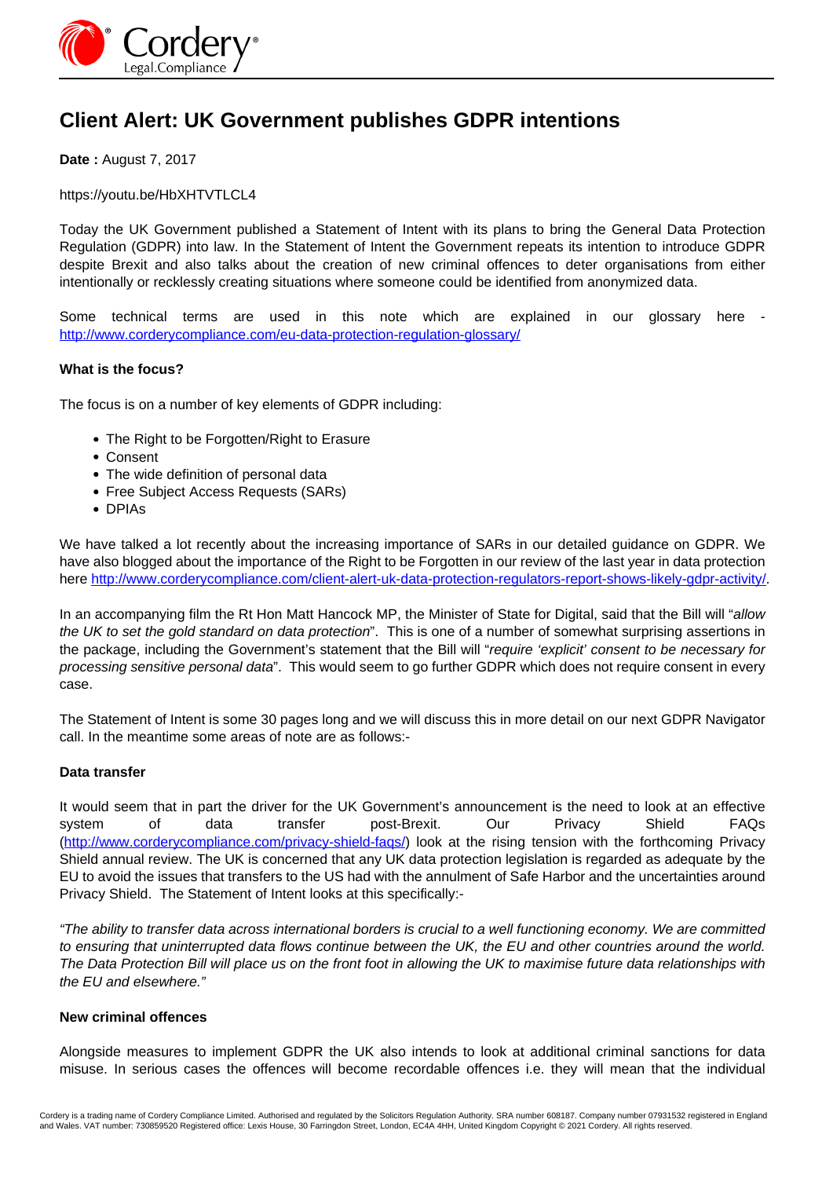

# **Client Alert: UK Government publishes GDPR intentions**

**Date :** August 7, 2017

https://youtu.be/HbXHTVTLCL4

Today the UK Government published a Statement of Intent with its plans to bring the General Data Protection Regulation (GDPR) into law. In the Statement of Intent the Government repeats its intention to introduce GDPR despite Brexit and also talks about the creation of new criminal offences to deter organisations from either intentionally or recklessly creating situations where someone could be identified from anonymized data.

Some technical terms are used in this note which are explained in our glossary here <http://www.corderycompliance.com/eu-data-protection-regulation-glossary/>

# **What is the focus?**

The focus is on a number of key elements of GDPR including:

- The Right to be Forgotten/Right to Erasure
- Consent
- The wide definition of personal data
- Free Subject Access Requests (SARs)
- DPIAs

We have talked a lot recently about the increasing importance of SARs in our detailed guidance on GDPR. We have also blogged about the importance of the Right to be Forgotten in our review of the last year in data protection here http://www.corderycompliance.com/client-alert-uk-data-protection-regulators-report-shows-likely-gdpr-activity/.

In an accompanying film the Rt Hon Matt Hancock MP, the Minister of State for Digital, said that the Bill will "allow the UK to set the gold standard on data protection". This is one of a number of somewhat surprising assertions in the package, including the Government's statement that the Bill will "require 'explicit' consent to be necessary for processing sensitive personal data". This would seem to go further GDPR which does not require consent in every case.

The Statement of Intent is some 30 pages long and we will discuss this in more detail on our next GDPR Navigator call. In the meantime some areas of note are as follows:-

# **Data transfer**

It would seem that in part the driver for the UK Government's announcement is the need to look at an effective system of data transfer post-Brexit. Our Privacy Shield FAQs (http://www.corderycompliance.com/privacy-shield-faqs/) look at the rising tension with the forthcoming Privacy Shield annual review. The UK is concerned that any UK data protection legislation is regarded as adequate by the EU to avoid the issues that transfers to the US had with the annulment of Safe Harbor and the uncertainties around Privacy Shield. The Statement of Intent looks at this specifically:-

"The ability to transfer data across international borders is crucial to a well functioning economy. We are committed to ensuring that uninterrupted data flows continue between the UK, the EU and other countries around the world. The Data Protection Bill will place us on the front foot in allowing the UK to maximise future data relationships with the EU and elsewhere."

# **New criminal offences**

Alongside measures to implement GDPR the UK also intends to look at additional criminal sanctions for data misuse. In serious cases the offences will become recordable offences i.e. they will mean that the individual